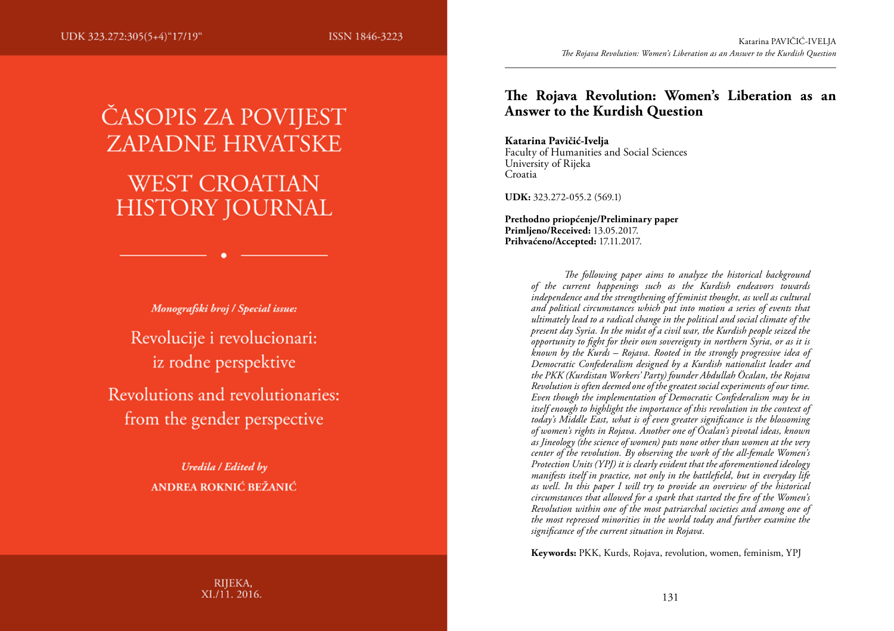ISSN 1846-3223

# ČASOPIS ZA POVIJEST **ZAPADNE HRVATSKE WEST CROATIAN HISTORY JOURNAL**

Monografski broj / Special issue: Revolucije i revolucionari:

iz rodne perspektive Revolutions and revolutionaries: from the gender perspective

> **Uredila / Edited by** ANDREA ROKNIĆ BEŽANIĆ

## **The Rojava Revolution: Women's Liberation as an Answer to the Kurdish Question**

#### **Katarina Pavičić-Ivelja**

Faculty of Humanities and Social Sciences University of Rijeka Croatia

**UDK:** 323.272-055.2 (569.1)

**Prethodno priopćenje/Preliminary paper Primljeno/Received:** 13.05.2017. **Prihvaćeno/Accepted:** 17.11.2017.

> *The following paper aims to analyze the historical background of the current happenings such as the Kurdish endeavors towards independence and the strengthening of feminist thought, as well as cultural and political circumstances which put into motion a series of events that ultimately lead to a radical change in the political and social climate of the present day Syria. In the midst of a civil war, the Kurdish people seized the opportunity to fight for their own sovereignty in northern Syria, or as it is known by the Kurds – Rojava. Rooted in the strongly progressive idea of Democratic Confederalism designed by a Kurdish nationalist leader and the PKK (Kurdistan Workers' Party) founder Abdullah Öcalan, the Rojava Revolution is often deemed one of the greatest social experiments of our time. Even though the implementation of Democratic Confederalism may be in itself enough to highlight the importance of this revolution in the context of today's Middle East, what is of even greater significance is the blossoming of women's rights in Rojava. Another one of Öcalan's pivotal ideas, known as Jineology (the science of women) puts none other than women at the very center of the revolution. By observing the work of the all-female Women's Protection Units (YPJ) it is clearly evident that the aforementioned ideology manifests itself in practice, not only in the battlefield, but in everyday life as well. In this paper I will try to provide an overview of the historical circumstances that allowed for a spark that started the fire of the Women's Revolution within one of the most patriarchal societies and among one of the most repressed minorities in the world today and further examine the significance of the current situation in Rojava.*

**Keywords:** PKK, Kurds, Rojava, revolution, women, feminism, YPJ

RIJEKA, XI./11. 2016.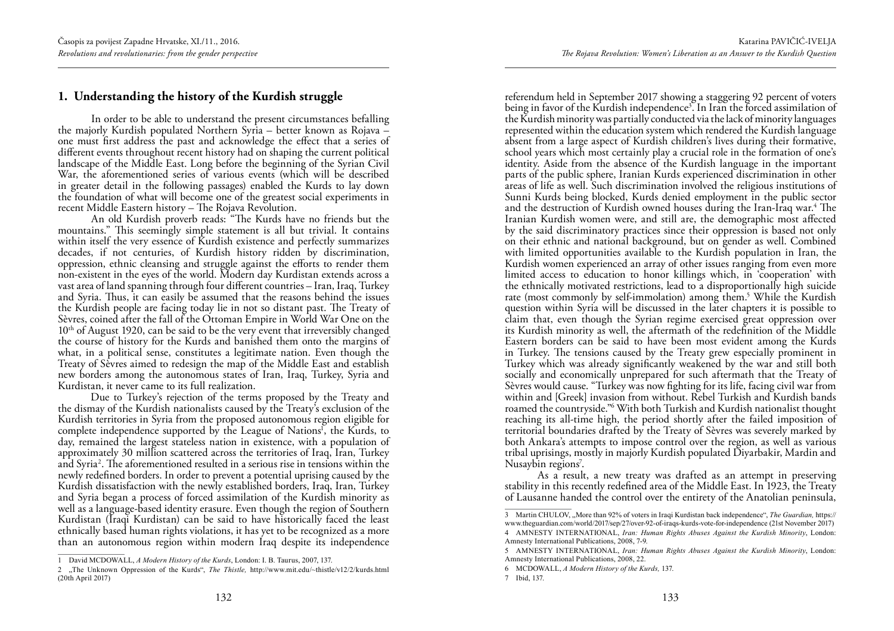## **1. Understanding the history of the Kurdish struggle**

In order to be able to understand the present circumstances befalling the majorly Kurdish populated Northern Syria – better known as Rojava – one must first address the past and acknowledge the effect that a series of different events throughout recent history had on shaping the current political landscape of the Middle East. Long before the beginning of the Syrian Civil War, the aforementioned series of various events (which will be described in greater detail in the following passages) enabled the Kurds to lay down the foundation of what will become one of the greatest social experiments in recent Middle Eastern history – The Rojava Revolution.

An old Kurdish proverb reads: "The Kurds have no friends but the mountains." This seemingly simple statement is all but trivial. It contains within itself the very essence of Kurdish existence and perfectly summarizes decades, if not centuries, of Kurdish history ridden by discrimination, oppression, ethnic cleansing and struggle against the efforts to render them non-existent in the eyes of the world. Modern day Kurdistan extends across a vast area of land spanning through four different countries – Iran, Iraq, Turkey and Syria. Thus, it can easily be assumed that the reasons behind the issues the Kurdish people are facing today lie in not so distant past. The Treaty of Sèvres, coined after the fall of the Ottoman Empire in World War One on the 10<sup>th</sup> of August 1920, can be said to be the very event that irreversibly changed the course of history for the Kurds and banished them onto the margins of what, in a political sense, constitutes a legitimate nation. Even though the Treaty of Sèvres aimed to redesign the map of the Middle East and establish new borders among the autonomous states of Iran, Iraq, Turkey, Syria and Kurdistan, it never came to its full realization.

Due to Turkey's rejection of the terms proposed by the Treaty and the dismay of the Kurdish nationalists caused by the Treaty's exclusion of the Kurdish territories in Syria from the proposed autonomous region eligible for complete independence supported by the League of Nations<sup>1</sup>, the Kurds, to day, remained the largest stateless nation in existence, with a population of approximately 30 million scattered across the territories of Iraq, Iran, Turkey and Syria<sup>2</sup>. The aforementioned resulted in a serious rise in tensions within the newly redefined borders. In order to prevent a potential uprising caused by the Kurdish dissatisfaction with the newly established borders, Iraq, Iran, Turkey and Syria began a process of forced assimilation of the Kurdish minority as well as a language-based identity erasure. Even though the region of Southern Kurdistan (Iraqi Kurdistan) can be said to have historically faced the least ethnically based human rights violations, it has yet to be recognized as a more than an autonomous region within modern Iraq despite its independence

referendum held in September 2017 showing a staggering 92 percent of voters being in favor of the Kurdish independence<sup>3</sup>. In Iran the forced assimilation of the Kurdish minority was partially conducted via the lack of minority languages represented within the education system which rendered the Kurdish language absent from a large aspect of Kurdish children's lives during their formative, school years which most certainly play a crucial role in the formation of one's identity. Aside from the absence of the Kurdish language in the important parts of the public sphere, Iranian Kurds experienced discrimination in other areas of life as well. Such discrimination involved the religious institutions of Sunni Kurds being blocked, Kurds denied employment in the public sector and the destruction of Kurdish owned houses during the Iran-Iraq war.4 The Iranian Kurdish women were, and still are, the demographic most affected by the said discriminatory practices since their oppression is based not only on their ethnic and national background, but on gender as well. Combined with limited opportunities available to the Kurdish population in Iran, the Kurdish women experienced an array of other issues ranging from even more limited access to education to honor killings which, in 'cooperation' with the ethnically motivated restrictions, lead to a disproportionally high suicide rate (most commonly by self-immolation) among them.<sup>5</sup> While the Kurdish question within Syria will be discussed in the later chapters it is possible to claim that, even though the Syrian regime exercised great oppression over its Kurdish minority as well, the aftermath of the redefinition of the Middle Eastern borders can be said to have been most evident among the Kurds in Turkey. The tensions caused by the Treaty grew especially prominent in Turkey which was already significantly weakened by the war and still both socially and economically unprepared for such aftermath that the Treaty of Sèvres would cause. "Turkey was now fighting for its life, facing civil war from within and [Greek] invasion from without. Rebel Turkish and Kurdish bands roamed the countryside."6 With both Turkish and Kurdish nationalist thought reaching its all-time high, the period shortly after the failed imposition of territorial boundaries drafted by the Treaty of Sèvres was severely marked by both Ankara's attempts to impose control over the region, as well as various tribal uprisings, mostly in majorly Kurdish populated Diyarbakir, Mardin and Nusaybin regions<sup>7</sup>.

As a result, a new treaty was drafted as an attempt in preserving stability in this recently redefined area of the Middle East. In 1923, the Treaty of Lausanne handed the control over the entirety of the Anatolian peninsula,

<sup>1</sup> David MCDOWALL, *A Modern History of the Kurds*, London: I. B. Taurus, 2007, 137.

<sup>2</sup> "The Unknown Oppression of the Kurds", *The Thistle,* http://www.mit.edu/~thistle/v12/2/kurds.html (20th April 2017)

<sup>3</sup> Martin CHULOV, "More than 92% of voters in Iraqi Kurdistan back independence", *The Guardian,* https:// www.theguardian.com/world/2017/sep/27/over-92-of-iraqs-kurds-vote-for-independence (21st November 2017)

<sup>4</sup> AMNESTY INTERNATIONAL, *Iran: Human Rights Abuses Against the Kurdish Minority*, London: Amnesty International Publications, 2008, 7-9.

<sup>5</sup> AMNESTY INTERNATIONAL, *Iran: Human Rights Abuses Against the Kurdish Minority*, London: Amnesty International Publications, 2008, 22.

<sup>6</sup> MCDOWALL, *A Modern History of the Kurds,* 137.

<sup>7</sup> Ibid, 137.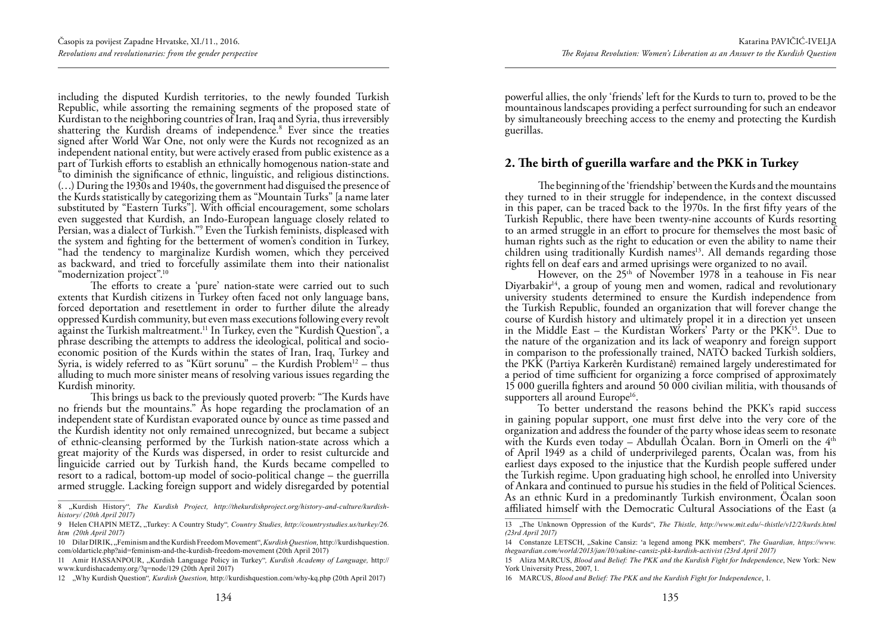including the disputed Kurdish territories, to the newly founded Turkish Republic, while assorting the remaining segments of the proposed state of Kurdistan to the neighboring countries of Iran, Iraq and Syria, thus irreversibly shattering the Kurdish dreams of independence.8 Ever since the treaties signed after World War One, not only were the Kurds not recognized as an independent national entity, but were actively erased from public existence as a part of Turkish efforts to establish an ethnically homogenous nation-state and "to diminish the significance of ethnic, linguistic, and religious distinctions. (…) During the 1930s and 1940s, the government had disguised the presence of the Kurds statistically by categorizing them as "Mountain Turks" [a name later substituted by "Eastern Turks"]. With official encouragement, some scholars even suggested that Kurdish, an Indo-European language closely related to Persian, was a dialect of Turkish."9 Even the Turkish feminists, displeased with the system and fighting for the betterment of women's condition in Turkey, "had the tendency to marginalize Kurdish women, which they perceived as backward, and tried to forcefully assimilate them into their nationalist "modernization project".<sup>10</sup>

The efforts to create a 'pure' nation-state were carried out to such extents that Kurdish citizens in Turkey often faced not only language bans, forced deportation and resettlement in order to further dilute the already oppressed Kurdish community, but even mass executions following every revolt against the Turkish maltreatment.11 In Turkey, even the "Kurdish Question", a phrase describing the attempts to address the ideological, political and socioeconomic position of the Kurds within the states of Iran, Iraq, Turkey and Syria, is widely referred to as "Kürt sorunu" – the Kurdish Problem<sup>12</sup> – thus alluding to much more sinister means of resolving various issues regarding the Kurdish minority.

This brings us back to the previously quoted proverb: "The Kurds have no friends but the mountains." As hope regarding the proclamation of an independent state of Kurdistan evaporated ounce by ounce as time passed and the Kurdish identity not only remained unrecognized, but became a subject of ethnic-cleansing performed by the Turkish nation-state across which a great majority of the Kurds was dispersed, in order to resist culturcide and linguicide carried out by Turkish hand, the Kurds became compelled to resort to a radical, bottom-up model of socio-political change – the guerrilla armed struggle. Lacking foreign support and widely disregarded by potential

powerful allies, the only 'friends' left for the Kurds to turn to, proved to be the mountainous landscapes providing a perfect surrounding for such an endeavor by simultaneously breeching access to the enemy and protecting the Kurdish guerillas.

## **2. The birth of guerilla warfare and the PKK in Turkey**

The beginning of the 'friendship' between the Kurds and the mountains they turned to in their struggle for independence, in the context discussed in this paper, can be traced back to the 1970s. In the first fifty years of the Turkish Republic, there have been twenty-nine accounts of Kurds resorting to an armed struggle in an effort to procure for themselves the most basic of human rights such as the right to education or even the ability to name their children using traditionally Kurdish names<sup>13</sup>. All demands regarding those rights fell on deaf ears and armed uprisings were organized to no avail.

However, on the  $25<sup>th</sup>$  of November 1978 in a teahouse in Fis near Diyarbakir $14$ , a group of young men and women, radical and revolutionary university students determined to ensure the Kurdish independence from the Turkish Republic, founded an organization that will forever change the course of Kurdish history and ultimately propel it in a direction yet unseen in the Middle East – the Kurdistan Workers' Party or the  $PKK<sup>15</sup>$ . Due to the nature of the organization and its lack of weaponry and foreign support in comparison to the professionally trained, NATO backed Turkish soldiers, the PKK (Partiya Karkerên Kurdistanê) remained largely underestimated for a period of time sufficient for organizing a force comprised of approximately 15 000 guerilla fighters and around 50 000 civilian militia, with thousands of supporters all around Europe<sup>16</sup>.

To better understand the reasons behind the PKK's rapid success in gaining popular support, one must first delve into the very core of the organization and address the founder of the party whose ideas seem to resonate with the Kurds even today – Abdullah Öcalan. Born in Omerli on the 4<sup>th</sup> of April 1949 as a child of underprivileged parents, Öcalan was, from his earliest days exposed to the injustice that the Kurdish people suffered under the Turkish regime. Upon graduating high school, he enrolled into University of Ankara and continued to pursue his studies in the field of Political Sciences. As an ethnic Kurd in a predominantly Turkish environment, Öcalan soon affiliated himself with the Democratic Cultural Associations of the East (a

<sup>8</sup> "Kurdish History"*, The Kurdish Project, http://thekurdishproject.org/history-and-culture/kurdishhistory/ (20th April 2017)*

<sup>9</sup> Helen CHAPIN METZ, "Turkey: A Country Study", Country Studies, http://countrystudies.us/turkey/26. *htm (20th April 2017)*

<sup>10</sup> Dilar DIRIK, "Feminism and the Kurdish Freedom Movement", *Kurdish Question,* http://kurdishquestion. com/oldarticle.php?aid=feminism-and-the-kurdish-freedom-movement (20th April 2017)

<sup>11</sup> Amir HASSANPOUR, "Kurdish Language Policy in Turkey"*, Kurdish Academy of Language,* http:// www.kurdishacademy.org/?q=node/129 (20th April 2017)

<sup>12</sup> "Why Kurdish Question"*, Kurdish Question,* http://kurdishquestion.com/why-kq.php (20th April 2017)

<sup>13</sup> "The Unknown Oppression of the Kurds", *The Thistle, http://www.mit.edu/~thistle/v12/2/kurds.html (23rd April 2017)*

<sup>14</sup> Constanze LETSCH, "Sakine Cansiz: 'a legend among PKK members"*, The Guardian, https://www. theguardian.com/world/2013/jan/10/sakine-cansiz-pkk-kurdish-activist (23rd April 2017)*

<sup>15</sup> Aliza MARCUS, *Blood and Belief: The PKK and the Kurdish Fight for Independence*, New York: New York University Press, 2007, 1.

<sup>16</sup> MARCUS, *Blood and Belief: The PKK and the Kurdish Fight for Independence*, 1.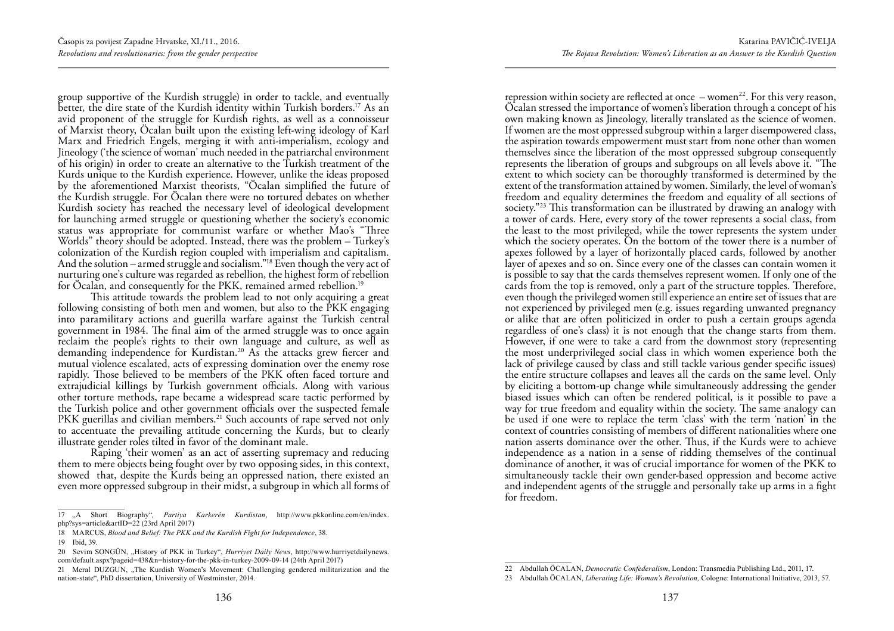group supportive of the Kurdish struggle) in order to tackle, and eventually better, the dire state of the Kurdish identity within Turkish borders.17 As an avid proponent of the struggle for Kurdish rights, as well as a connoisseur of Marxist theory, Öcalan built upon the existing left-wing ideology of Karl Marx and Friedrich Engels, merging it with anti-imperialism, ecology and Jineology ('the science of woman' much needed in the patriarchal environment of his origin) in order to create an alternative to the Turkish treatment of the Kurds unique to the Kurdish experience. However, unlike the ideas proposed by the aforementioned Marxist theorists, "Öcalan simplified the future of the Kurdish struggle. For Öcalan there were no tortured debates on whether Kurdish society has reached the necessary level of ideological development for launching armed struggle or questioning whether the society's economic status was appropriate for communist warfare or whether Mao's "Three Worlds" theory should be adopted. Instead, there was the problem – Turkey's colonization of the Kurdish region coupled with imperialism and capitalism. And the solution – armed struggle and socialism."<sup>18</sup> Even though the very act of nurturing one's culture was regarded as rebellion, the highest form of rebellion for Öcalan, and consequently for the PKK, remained armed rebellion.<sup>19</sup>

This attitude towards the problem lead to not only acquiring a great following consisting of both men and women, but also to the PKK engaging into paramilitary actions and guerilla warfare against the Turkish central government in 1984. The final aim of the armed struggle was to once again reclaim the people's rights to their own language and culture, as well as demanding independence for Kurdistan.<sup>20</sup> As the attacks grew fiercer and mutual violence escalated, acts of expressing domination over the enemy rose rapidly. Those believed to be members of the PKK often faced torture and extrajudicial killings by Turkish government officials. Along with various other torture methods, rape became a widespread scare tactic performed by the Turkish police and other government officials over the suspected female PKK guerillas and civilian members.<sup>21</sup> Such accounts of rape served not only to accentuate the prevailing attitude concerning the Kurds, but to clearly illustrate gender roles tilted in favor of the dominant male.

Raping 'their women' as an act of asserting supremacy and reducing them to mere objects being fought over by two opposing sides, in this context, showed that, despite the Kurds being an oppressed nation, there existed an even more oppressed subgroup in their midst, a subgroup in which all forms of

repression within society are reflected at once  $-$  women<sup>22</sup>. For this very reason, Öcalan stressed the importance of women's liberation through a concept of his own making known as Jineology, literally translated as the science of women. If women are the most oppressed subgroup within a larger disempowered class, the aspiration towards empowerment must start from none other than women themselves since the liberation of the most oppressed subgroup consequently represents the liberation of groups and subgroups on all levels above it. "The extent to which society can be thoroughly transformed is determined by the extent of the transformation attained by women. Similarly, the level of woman's freedom and equality determines the freedom and equality of all sections of society."23 This transformation can be illustrated by drawing an analogy with a tower of cards. Here, every story of the tower represents a social class, from the least to the most privileged, while the tower represents the system under which the society operates. On the bottom of the tower there is a number of apexes followed by a layer of horizontally placed cards, followed by another layer of apexes and so on. Since every one of the classes can contain women it is possible to say that the cards themselves represent women. If only one of the cards from the top is removed, only a part of the structure topples. Therefore, even though the privileged women still experience an entire set of issues that are not experienced by privileged men (e.g. issues regarding unwanted pregnancy or alike that are often politicized in order to push a certain groups agenda regardless of one's class) it is not enough that the change starts from them. However, if one were to take a card from the downmost story (representing the most underprivileged social class in which women experience both the lack of privilege caused by class and still tackle various gender specific issues) the entire structure collapses and leaves all the cards on the same level. Only by eliciting a bottom-up change while simultaneously addressing the gender biased issues which can often be rendered political, is it possible to pave a way for true freedom and equality within the society. The same analogy can be used if one were to replace the term 'class' with the term 'nation' in the context of countries consisting of members of different nationalities where one nation asserts dominance over the other. Thus, if the Kurds were to achieve independence as a nation in a sense of ridding themselves of the continual dominance of another, it was of crucial importance for women of the PKK to simultaneously tackle their own gender-based oppression and become active and independent agents of the struggle and personally take up arms in a fight for freedom.

<sup>17</sup> "A Short Biography"*, Partiya Karkerên Kurdistan*, http://www.pkkonline.com/en/index. php?sys=article&artID=22 (23rd April 2017)

<sup>18</sup> MARCUS, *Blood and Belief: The PKK and the Kurdish Fight for Independence*, 38.

<sup>19</sup> Ibid, 39.

<sup>20</sup> Sevim SONGÜN, "History of PKK in Turkey", *Hurriyet Daily News*, http://www.hurriyetdailynews. com/default.aspx?pageid=438&n=history-for-the-pkk-in-turkey-2009-09-14 (24th April 2017)

<sup>21</sup> Meral DUZGUN, "The Kurdish Women's Movement: Challenging gendered militarization and the nation-state", PhD dissertation, University of Westminster, 2014.

<sup>22</sup> Abdullah ÖCALAN, *Democratic Confederalism*, London: Transmedia Publishing Ltd., 2011, 17.

<sup>23</sup> Abdullah ÖCALAN, *Liberating Life: Woman's Revolution,* Cologne: International Initiative, 2013, 57.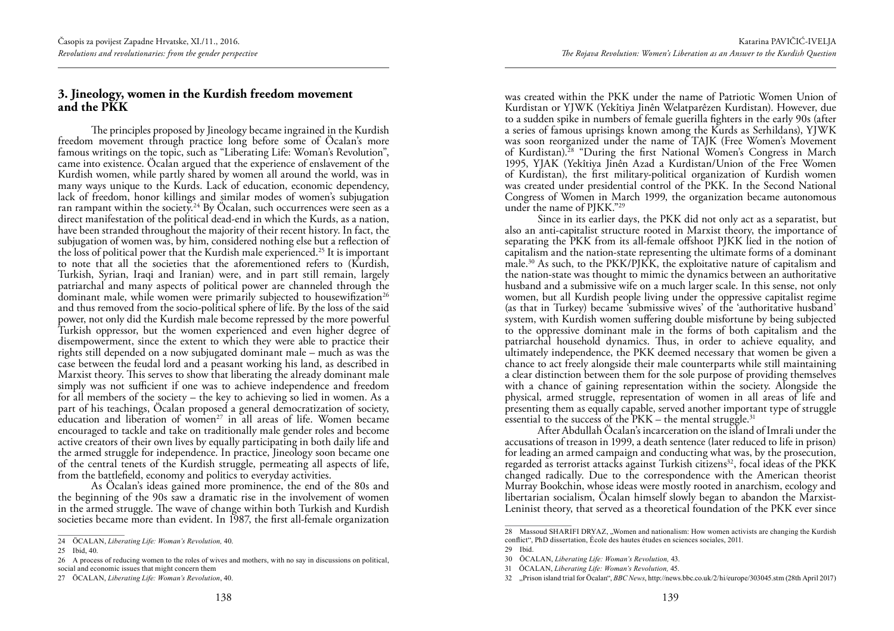#### **3. Jineology, women in the Kurdish freedom movement and the PKK**

The principles proposed by Jineology became ingrained in the Kurdish freedom movement through practice long before some of Öcalan's more famous writings on the topic, such as "Liberating Life: Woman's Revolution", came into existence. Öcalan argued that the experience of enslavement of the Kurdish women, while partly shared by women all around the world, was in many ways unique to the Kurds. Lack of education, economic dependency, lack of freedom, honor killings and similar modes of women's subjugation ran rampant within the society.<sup>24</sup> By Öcalan, such occurrences were seen as a direct manifestation of the political dead-end in which the Kurds, as a nation, have been stranded throughout the majority of their recent history. In fact, the subjugation of women was, by him, considered nothing else but a reflection of the loss of political power that the Kurdish male experienced.25 It is important to note that all the societies that the aforementioned refers to (Kurdish, Turkish, Syrian, Iraqi and Iranian) were, and in part still remain, largely patriarchal and many aspects of political power are channeled through the dominant male, while women were primarily subjected to housewifization<sup>26</sup> and thus removed from the socio-political sphere of life. By the loss of the said power, not only did the Kurdish male become repressed by the more powerful Turkish oppressor, but the women experienced and even higher degree of disempowerment, since the extent to which they were able to practice their rights still depended on a now subjugated dominant male – much as was the case between the feudal lord and a peasant working his land, as described in Marxist theory. This serves to show that liberating the already dominant male simply was not sufficient if one was to achieve independence and freedom for all members of the society  $-$  the key to achieving so lied in women. As a part of his teachings, Öcalan proposed a general democratization of society, education and liberation of women<sup>27</sup> in all areas of life. Women became encouraged to tackle and take on traditionally male gender roles and become active creators of their own lives by equally participating in both daily life and the armed struggle for independence. In practice, Jineology soon became one of the central tenets of the Kurdish struggle, permeating all aspects of life, from the battlefield, economy and politics to everyday activities.

As Öcalan's ideas gained more prominence, the end of the 80s and the beginning of the 90s saw a dramatic rise in the involvement of women in the armed struggle. The wave of change within both Turkish and Kurdish societies became more than evident. In 1987, the first all-female organization was created within the PKK under the name of Patriotic Women Union of Kurdistan or YJWK (Yekîtiya Jinên Welatparêzen Kurdistan). However, due to a sudden spike in numbers of female guerilla fighters in the early 90s (after a series of famous uprisings known among the Kurds as Serhildans), YJWK was soon reorganized under the name of TAJK (Free Women's Movement of Kurdistan).28 "During the first National Women's Congress in March 1995, YJAK (Yekîtiya Jinên Azad a Kurdistan/Union of the Free Women of Kurdistan), the first military-political organization of Kurdish women was created under presidential control of the PKK. In the Second National Congress of Women in March 1999, the organization became autonomous under the name of PJKK."29

Since in its earlier days, the PKK did not only act as a separatist, but also an anti-capitalist structure rooted in Marxist theory, the importance of separating the PKK from its all-female offshoot PJKK lied in the notion of capitalism and the nation-state representing the ultimate forms of a dominant male.30 As such, to the PKK/PJKK, the exploitative nature of capitalism and the nation-state was thought to mimic the dynamics between an authoritative husband and a submissive wife on a much larger scale. In this sense, not only women, but all Kurdish people living under the oppressive capitalist regime (as that in Turkey) became 'submissive wives' of the 'authoritative husband' system, with Kurdish women suffering double misfortune by being subjected to the oppressive dominant male in the forms of both capitalism and the patriarchal household dynamics. Thus, in order to achieve equality, and ultimately independence, the PKK deemed necessary that women be given a chance to act freely alongside their male counterparts while still maintaining a clear distinction between them for the sole purpose of providing themselves with a chance of gaining representation within the society. Alongside the physical, armed struggle, representation of women in all areas of life and presenting them as equally capable, served another important type of struggle essential to the success of the  $PKK$  – the mental struggle.<sup>31</sup>

After Abdullah Öcalan's incarceration on the island of Imrali under the accusations of treason in 1999, a death sentence (later reduced to life in prison) for leading an armed campaign and conducting what was, by the prosecution, regarded as terrorist attacks against Turkish citizens<sup>32</sup>, focal ideas of the PKK changed radically. Due to the correspondence with the American theorist Murray Bookchin, whose ideas were mostly rooted in anarchism, ecology and libertarian socialism, Öcalan himself slowly began to abandon the Marxist-Leninist theory, that served as a theoretical foundation of the PKK ever since

<sup>24</sup> ÖCALAN, *Liberating Life: Woman's Revolution,* 40.

<sup>25</sup> Ibid, 40.

<sup>26</sup> A process of reducing women to the roles of wives and mothers, with no say in discussions on political, social and economic issues that might concern them

<sup>27</sup> ÖCALAN, *Liberating Life: Woman's Revolution*, 40.

<sup>28</sup> Massoud SHARIFI DRYAZ, "Women and nationalism: How women activists are changing the Kurdish conflict", PhD dissertation, École des hautes études en sciences sociales, 2011.

<sup>29</sup> Ibid.

<sup>30</sup> ÖCALAN, *Liberating Life: Woman's Revolution,* 43.

<sup>31</sup> ÖCALAN, *Liberating Life: Woman's Revolution,* 45.

<sup>32</sup> "Prison island trial for Öcalan", *BBC News*, http://news.bbc.co.uk/2/hi/europe/303045.stm (28th April 2017)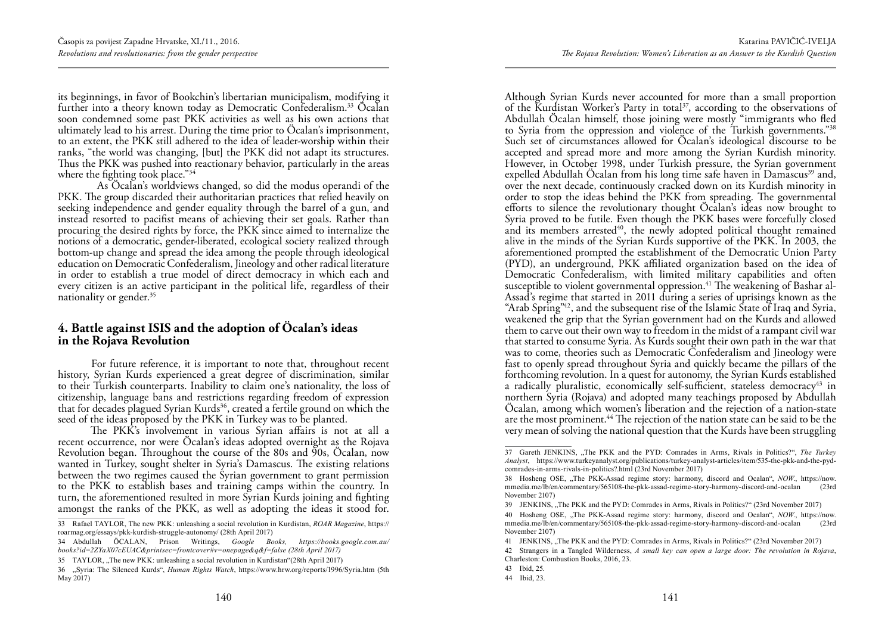its beginnings, in favor of Bookchin's libertarian municipalism, modifying it further into a theory known today as Democratic Confederalism.33 Öcalan soon condemned some past PKK activities as well as his own actions that ultimately lead to his arrest. During the time prior to Öcalan's imprisonment, to an extent, the PKK still adhered to the idea of leader-worship within their ranks, "the world was changing, [but] the PKK did not adapt its structures. Thus the PKK was pushed into reactionary behavior, particularly in the areas where the fighting took place."<sup>34</sup>

 As Öcalan's worldviews changed, so did the modus operandi of the PKK. The group discarded their authoritarian practices that relied heavily on seeking independence and gender equality through the barrel of a gun, and instead resorted to pacifist means of achieving their set goals. Rather than procuring the desired rights by force, the PKK since aimed to internalize the notions of a democratic, gender-liberated, ecological society realized through bottom-up change and spread the idea among the people through ideological education on Democratic Confederalism, Jineology and other radical literature in order to establish a true model of direct democracy in which each and every citizen is an active participant in the political life, regardless of their nationality or gender.<sup>35</sup>

#### **4. Battle against ISIS and the adoption of Öcalan's ideas in the Rojava Revolution**

For future reference, it is important to note that, throughout recent history, Syrian Kurds experienced a great degree of discrimination, similar to their Turkish counterparts. Inability to claim one's nationality, the loss of citizenship, language bans and restrictions regarding freedom of expression that for decades plagued Syrian Kurds<sup>36</sup>, created a fertile ground on which the seed of the ideas proposed by the PKK in Turkey was to be planted.

The PKK's involvement in various Syrian affairs is not at all a recent occurrence, nor were Öcalan's ideas adopted overnight as the Rojava Revolution began. Throughout the course of the 80s and 90s, Ocalan, now wanted in Turkey, sought shelter in Syria's Damascus. The existing relations between the two regimes caused the Syrian government to grant permission to the PKK to establish bases and training camps within the country. In turn, the aforementioned resulted in more Syrian Kurds joining and fighting amongst the ranks of the PKK, as well as adopting the ideas it stood for.

Although Syrian Kurds never accounted for more than a small proportion of the Kurdistan Worker's Party in total<sup>37</sup>, according to the observations of Abdullah Öcalan himself, those joining were mostly "immigrants who fled to Syria from the oppression and violence of the Turkish governments."38 Such set of circumstances allowed for Öcalan's ideological discourse to be accepted and spread more and more among the Syrian Kurdish minority. However, in October 1998, under Turkish pressure, the Syrian government expelled Abdullah Öcalan from his long time safe haven in Damascus<sup>39</sup> and, over the next decade, continuously cracked down on its Kurdish minority in order to stop the ideas behind the PKK from spreading. The governmental efforts to silence the revolutionary thought Öcalan's ideas now brought to Syria proved to be futile. Even though the PKK bases were forcefully closed and its members arrested $40$ , the newly adopted political thought remained alive in the minds of the Syrian Kurds supportive of the PKK. In 2003, the aforementioned prompted the establishment of the Democratic Union Party (PYD), an underground, PKK affiliated organization based on the idea of Democratic Confederalism, with limited military capabilities and often susceptible to violent governmental oppression.<sup>41</sup> The weakening of Bashar al-Assad's regime that started in 2011 during a series of uprisings known as the "Arab Spring"42, and the subsequent rise of the Islamic State of Iraq and Syria, weakened the grip that the Syrian government had on the Kurds and allowed them to carve out their own way to freedom in the midst of a rampant civil war that started to consume Syria. As Kurds sought their own path in the war that was to come, theories such as Democratic Confederalism and Jineology were fast to openly spread throughout Syria and quickly became the pillars of the forthcoming revolution. In a quest for autonomy, the Syrian Kurds established a radically pluralistic, economically self-sufficient, stateless democracy<sup>43</sup> in northern Syria (Rojava) and adopted many teachings proposed by Abdullah Öcalan, among which women's liberation and the rejection of a nation-state are the most prominent.<sup>44</sup> The rejection of the nation state can be said to be the very mean of solving the national question that the Kurds have been struggling

<sup>33</sup> Rafael TAYLOR, The new PKK: unleashing a social revolution in Kurdistan, *ROAR Magazine*, https:// roarmag.org/essays/pkk-kurdish-struggle-autonomy/ (28th April 2017)

<sup>34</sup> Abdullah ÖCALAN, Prison Writings, *Google Books, https://books.google.com.au/ books?id=2ZYaX07cEUAC&printsec=frontcover#v=onepage&q&f=false (28th April 2017)*

<sup>35</sup> TAYLOR, "The new PKK: unleashing a social revolution in Kurdistan"(28th April 2017)

<sup>36</sup> "Syria: The Silenced Kurds", *Human Rights Watch*, https://www.hrw.org/reports/1996/Syria.htm (5th May 2017)

<sup>37</sup> Gareth JENKINS, "The PKK and the PYD: Comrades in Arms, Rivals in Politics?", *The Turkey Analyst*, https://www.turkeyanalyst.org/publications/turkey-analyst-articles/item/535-the-pkk-and-the-pydcomrades-in-arms-rivals-in-politics?.html (23rd November 2017)

<sup>38</sup> Hosheng OSE, "The PKK-Assad regime story: harmony, discord and Ocalan", *NOW*., https://now. mmedia.me/lb/en/commentary/565108-the-pkk-assad-regime-story-harmony-discord-and-ocalan (23rd November 2107)

<sup>39</sup> JENKINS, "The PKK and the PYD: Comrades in Arms, Rivals in Politics?" (23rd November 2017)

<sup>40</sup> Hosheng OSE, "The PKK-Assad regime story: harmony, discord and Ocalan", *NOW*., https://now. mmedia.me/lb/en/commentary/565108-the-pkk-assad-regime-story-harmony-discord-and-ocalan (23rd November 2107)

<sup>41</sup> JENKINS, "The PKK and the PYD: Comrades in Arms, Rivals in Politics?" (23rd November 2017) 42 Strangers in a Tangled Wilderness, *A small key can open a large door: The revolution in Rojava*, Charleston: Combustion Books, 2016, 23.

<sup>43</sup> Ibid, 25.

<sup>44</sup> Ibid, 23.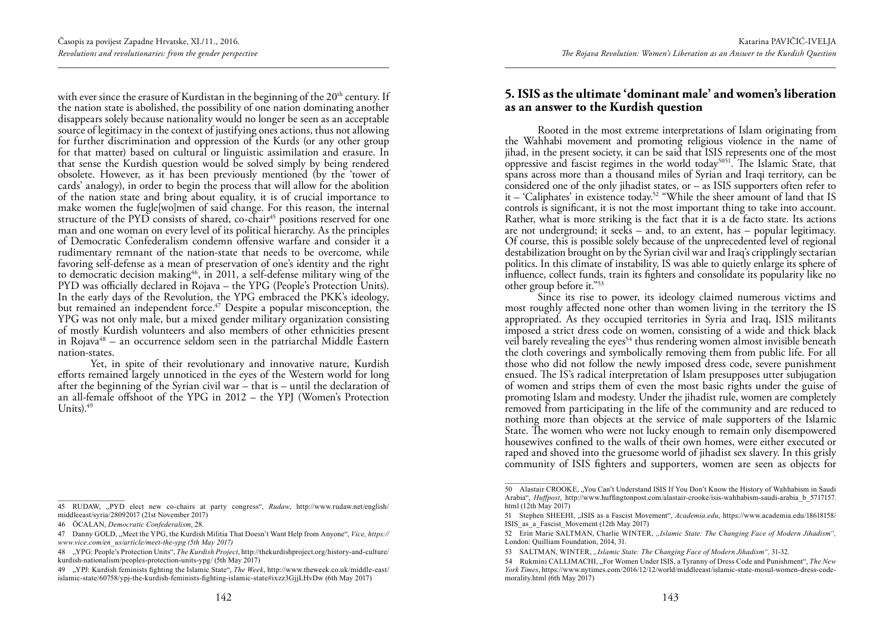with ever since the erasure of Kurdistan in the beginning of the  $20<sup>th</sup>$  century. If the nation state is abolished, the possibility of one nation dominating another disappears solely because nationality would no longer be seen as an acceptable source of legitimacy in the context of justifying ones actions, thus not allowing for further discrimination and oppression of the Kurds (or any other group for that matter) based on cultural or linguistic assimilation and erasure. In that sense the Kurdish question would be solved simply by being rendered obsolete. However, as it has been previously mentioned (by the 'tower of cards' analogy), in order to begin the process that will allow for the abolition of the nation state and bring about equality, it is of crucial importance to make women the fugle[wo]men of said change. For this reason, the internal structure of the  $PYD$  consists of shared, co-chair<sup>45</sup> positions reserved for one man and one woman on every level of its political hierarchy. As the principles of Democratic Confederalism condemn offensive warfare and consider it a rudimentary remnant of the nation-state that needs to be overcome, while favoring self-defense as a mean of preservation of one's identity and the right to democratic decision making<sup>46</sup>, in 2011, a self-defense military wing of the PYD was officially declared in Rojava – the YPG (People's Protection Units). In the early days of the Revolution, the YPG embraced the PKK's ideology, but remained an independent force.<sup>47</sup> Despite a popular misconception, the YPG was not only male, but a mixed gender military organization consisting of mostly Kurdish volunteers and also members of other ethnicities present in Rojava $48$  – an occurrence seldom seen in the patriarchal Middle Eastern nation-states.

Yet, in spite of their revolutionary and innovative nature, Kurdish efforts remained largely unnoticed in the eyes of the Western world for long after the beginning of the Syrian civil war – that is – until the declaration of an all-female offshoot of the YPG in 2012 – the YPJ (Women's Protection Units). $49$ 

#### **5. ISIS as the ultimate 'dominant male' and women's liberation as an answer to the Kurdish question**

Rooted in the most extreme interpretations of Islam originating from the Wahhabi movement and promoting religious violence in the name of jihad, in the present society, it can be said that ISIS represents one of the most oppressive and fascist regimes in the world today5051. The Islamic State, that spans across more than a thousand miles of Syrian and Iraqi territory, can be considered one of the only jihadist states, or – as ISIS supporters often refer to it – 'Caliphates' in existence today.52 "While the sheer amount of land that IS controls is significant, it is not the most important thing to take into account. Rather, what is more striking is the fact that it is a de facto state. Its actions are not underground; it seeks – and, to an extent, has – popular legitimacy. Of course, this is possible solely because of the unprecedented level of regional destabilization brought on by the Syrian civil war and Iraq's cripplingly sectarian politics. In this climate of instability, IS was able to quietly enlarge its sphere of influence, collect funds, train its fighters and consolidate its popularity like no other group before it."53

Since its rise to power, its ideology claimed numerous victims and most roughly affected none other than women living in the territory the IS appropriated. As they occupied territories in Syria and Iraq, ISIS militants imposed a strict dress code on women, consisting of a wide and thick black veil barely revealing the eyes<sup>54</sup> thus rendering women almost invisible beneath the cloth coverings and symbolically removing them from public life. For all those who did not follow the newly imposed dress code, severe punishment ensued. The IS's radical interpretation of Islam presupposes utter subjugation of women and strips them of even the most basic rights under the guise of promoting Islam and modesty. Under the jihadist rule, women are completely removed from participating in the life of the community and are reduced to nothing more than objects at the service of male supporters of the Islamic State. The women who were not lucky enough to remain only disempowered housewives confined to the walls of their own homes, were either executed or raped and shoved into the gruesome world of jihadist sex slavery. In this grisly community of ISIS fighters and supporters, women are seen as objects for

<sup>45</sup> RUDAW, "PYD elect new co-chairs at party congress", *Rudaw*, http://www.rudaw.net/english/ middleeast/syria/28092017 (21st November 2017)

<sup>46</sup> ÖCALAN, *Democratic Confederalism*, 28.

<sup>47</sup> Danny GOLD, "Meet the YPG, the Kurdish Militia That Doesn't Want Help from Anyone", *Vice, https:// www.vice.com/en\_us/article/meet-the-ypg (5th May 2017)*

<sup>48</sup> "YPG: People's Protection Units", *The Kurdish Project*, http://thekurdishproject.org/history-and-culture/ kurdish-nationalism/peoples-protection-units-ypg/ (5th May 2017)

<sup>49</sup> "YPJ: Kurdish feminists fighting the Islamic State", *The Week*, http://www.theweek.co.uk/middle-east/ islamic-state/60758/ypj-the-kurdish-feminists-fighting-islamic-state#ixzz3GjjLHvDw (6th May 2017)

<sup>50</sup> Alastair CROOKE, "You Can't Understand ISIS If You Don't Know the History of Wahhabism in Saudi Arabia", *Huffpost*, http://www.huffingtonpost.com/alastair-crooke/isis-wahhabism-saudi-arabia\_b\_5717157. html (12th May 2017)

<sup>51</sup> Stephen SHEEHI, "ISIS as a Fascist Movement", *Academia.edu*, https://www.academia.edu/18618158/ ISIS\_as\_a\_Fascist\_Movement (12th May 2017)

<sup>52</sup> Erin Marie SALTMAN, Charlie WINTER, *"Islamic State: The Changing Face of Modern Jihadism",* London: Quilliam Foundation, 2014, 31.

<sup>53</sup> SALTMAN, WINTER, *"Islamic State: The Changing Face of Modern Jihadism",* 31-32.

<sup>54</sup> Rukmini CALLIMACHI, "For Women Under ISIS, a Tyranny of Dress Code and Punishment", *The New York Times*, https://www.nytimes.com/2016/12/12/world/middleeast/islamic-state-mosul-women-dress-codemorality.html (6th May 2017)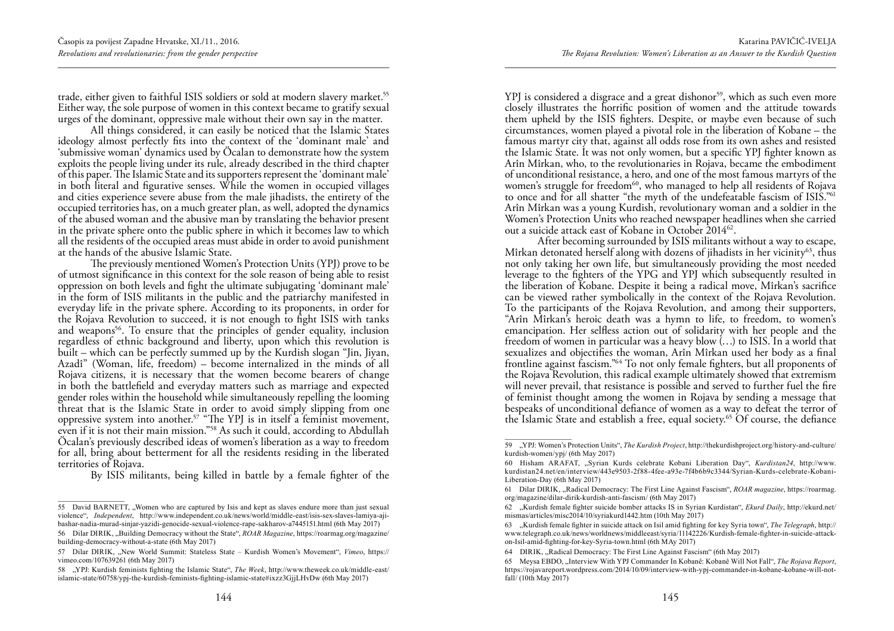trade, either given to faithful ISIS soldiers or sold at modern slavery market.<sup>55</sup> Either way, the sole purpose of women in this context became to gratify sexual urges of the dominant, oppressive male without their own say in the matter.

All things considered, it can easily be noticed that the Islamic States ideology almost perfectly fits into the context of the 'dominant male' and 'submissive woman' dynamics used by Öcalan to demonstrate how the system exploits the people living under its rule, already described in the third chapter of this paper. The Islamic State and its supporters represent the 'dominant male' in both literal and figurative senses. While the women in occupied villages and cities experience severe abuse from the male jihadists, the entirety of the occupied territories has, on a much greater plan, as well, adopted the dynamics of the abused woman and the abusive man by translating the behavior present in the private sphere onto the public sphere in which it becomes law to which all the residents of the occupied areas must abide in order to avoid punishment at the hands of the abusive Islamic State.

The previously mentioned Women's Protection Units (YPJ) prove to be of utmost significance in this context for the sole reason of being able to resist oppression on both levels and fight the ultimate subjugating 'dominant male' in the form of ISIS militants in the public and the patriarchy manifested in everyday life in the private sphere. According to its proponents, in order for the Rojava Revolution to succeed, it is not enough to fight ISIS with tanks and weapons<sup>56</sup>. To ensure that the principles of gender equality, inclusion regardless of ethnic background and liberty, upon which this revolution is built – which can be perfectly summed up by the Kurdish slogan "Jin, Jiyan, Azadî" (Woman, life, freedom) – become internalized in the minds of all Rojava citizens, it is necessary that the women become bearers of change in both the battlefield and everyday matters such as marriage and expected gender roles within the household while simultaneously repelling the looming threat that is the Islamic State in order to avoid simply slipping from one oppressive system into another.57 "The YPJ is in itself a feminist movement, even if it is not their main mission."58 As such it could, according to Abdullah Öcalan's previously described ideas of women's liberation as a way to freedom for all, bring about betterment for all the residents residing in the liberated territories of Rojava.

By ISIS militants, being killed in battle by a female fighter of the

YPJ is considered a disgrace and a great dishonor<sup>59</sup>, which as such even more closely illustrates the horrific position of women and the attitude towards them upheld by the ISIS fighters. Despite, or maybe even because of such circumstances, women played a pivotal role in the liberation of Kobane – the famous martyr city that, against all odds rose from its own ashes and resisted the Islamic State. It was not only women, but a specific YPJ fighter known as Arîn Mîrkan, who, to the revolutionaries in Rojava, became the embodiment of unconditional resistance, a hero, and one of the most famous martyrs of the women's struggle for freedom<sup>60</sup>, who managed to help all residents of Rojava to once and for all shatter "the myth of the undefeatable fascism of ISIS."61 Arîn Mîrkan was a young Kurdish, revolutionary woman and a soldier in the Women's Protection Units who reached newspaper headlines when she carried out a suicide attack east of Kobane in October 2014<sup>62</sup>.

After becoming surrounded by ISIS militants without a way to escape, Mîrkan detonated herself along with dozens of jihadists in her vicinity<sup>63</sup>, thus not only taking her own life, but simultaneously providing the most needed leverage to the fighters of the YPG and YPJ which subsequently resulted in the liberation of Kobane. Despite it being a radical move, Mîrkan's sacrifice can be viewed rather symbolically in the context of the Rojava Revolution. To the participants of the Rojava Revolution, and among their supporters, "Arîn Mîrkan's heroic death was a hymn to life, to freedom, to women's emancipation. Her selfless action out of solidarity with her people and the freedom of women in particular was a heavy blow (…) to ISIS. In a world that sexualizes and objectifies the woman, Arîn Mîrkan used her body as a final frontline against fascism."64 To not only female fighters, but all proponents of the Rojava Revolution, this radical example ultimately showed that extremism will never prevail, that resistance is possible and served to further fuel the fire of feminist thought among the women in Rojava by sending a message that bespeaks of unconditional defiance of women as a way to defeat the terror of the Islamic State and establish a free, equal society.<sup>65</sup> Of course, the defiance

<sup>55</sup> David BARNETT, "Women who are captured by Isis and kept as slaves endure more than just sexual violence", *Independent*, http://www.independent.co.uk/news/world/middle-east/isis-sex-slaves-lamiya-ajibashar-nadia-murad-sinjar-yazidi-genocide-sexual-violence-rape-sakharov-a7445151.html (6th May 2017)

<sup>56</sup> Dilar DIRIK, "Building Democracy without the State", *ROAR Magazine*, https://roarmag.org/magazine/ building-democracy-without-a-state (6th May 2017)

<sup>57</sup> Dilar DIRIK, "New World Summit: Stateless State – Kurdish Women's Movement", *Vimeo*, https:// vimeo.com/107639261 (6th May 2017)

<sup>58</sup> "YPJ: Kurdish feminists fighting the Islamic State", *The Week*, http://www.theweek.co.uk/middle-east/ islamic-state/60758/ypj-the-kurdish-feminists-fighting-islamic-state#ixzz3GjjLHvDw (6th May 2017)

<sup>59</sup> "YPJ: Women's Protection Units", *The Kurdish Project*, http://thekurdishproject.org/history-and-culture/ kurdish-women/ypj/ (6th May 2017)

<sup>60</sup> Hisham ARAFAT, "Syrian Kurds celebrate Kobani Liberation Day", *Kurdistan24*, http://www. kurdistan24.net/en/interview/443e9503-2f88-4fee-a93e-7f4b6b9c3344/Syrian-Kurds-celebrate-Kobani-Liberation-Day (6th May 2017)

<sup>61</sup> Dilar DIRIK, "Radical Democracy: The First Line Against Fascism", *ROAR magazine*, https://roarmag. org/magazine/dilar-dirik-kurdish-anti-fascism/ (6th May 2017)

<sup>62</sup> "Kurdish female fighter suicide bomber attacks IS in Syrian Kurdistan", *Ekurd Daily*, http://ekurd.net/ mismas/articles/misc2014/10/syriakurd1442.htm (10th May 2017)

<sup>63</sup> "Kurdish female fighter in suicide attack on Isil amid fighting for key Syria town", *The Telegraph*, http:// www.telegraph.co.uk/news/worldnews/middleeast/syria/11142226/Kurdish-female-fighter-in-suicide-attackon-Isil-amid-fighting-for-key-Syria-town.html (6th MAy 2017)

<sup>64</sup> DIRIK, "Radical Democracy: The First Line Against Fascism" (6th May 2017)

<sup>65</sup> Meysa EBDO, "Interview With YPJ Commander In Kobanê: Kobanê Will Not Fall", *The Rojava Report*, https://rojavareport.wordpress.com/2014/10/09/interview-with-ypj-commander-in-kobane-kobane-will-notfall/ (10th May 2017)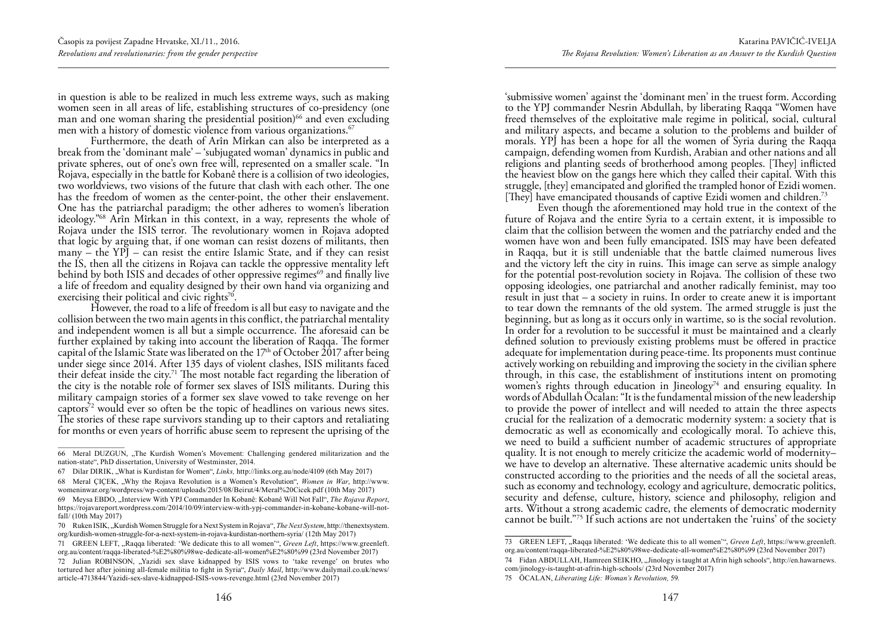in question is able to be realized in much less extreme ways, such as making women seen in all areas of life, establishing structures of co-presidency (one man and one woman sharing the presidential position) $66$  and even excluding men with a history of domestic violence from various organizations.<sup>67</sup>

Furthermore, the death of Arîn Mîrkan can also be interpreted as a break from the 'dominant male' – 'subjugated woman' dynamics in public and private spheres, out of one's own free will, represented on a smaller scale. "In Rojava, especially in the battle for Kobanê there is a collision of two ideologies, two worldviews, two visions of the future that clash with each other. The one has the freedom of women as the center-point, the other their enslavement. One has the patriarchal paradigm; the other adheres to women's liberation ideology."68 Arîn Mîrkan in this context, in a way, represents the whole of Rojava under the ISIS terror. The revolutionary women in Rojava adopted that logic by arguing that, if one woman can resist dozens of militants, then many – the YPJ – can resist the entire Islamic State, and if they can resist the IS, then all the citizens in Rojava can tackle the oppressive mentality left behind by both ISIS and decades of other oppressive regimes<sup>69</sup> and finally live a life of freedom and equality designed by their own hand via organizing and exercising their political and civic rights<sup>70</sup>.

However, the road to a life of freedom is all but easy to navigate and the collision between the two main agents in this conflict, the patriarchal mentality and independent women is all but a simple occurrence. The aforesaid can be further explained by taking into account the liberation of Raqqa. The former capital of the Islamic State was liberated on the  $17<sup>th</sup>$  of October 2017 after being under siege since 2014. After 135 days of violent clashes, ISIS militants faced their defeat inside the city.<sup>71</sup> The most notable fact regarding the liberation of the city is the notable role of former sex slaves of ISIS militants. During this military campaign stories of a former sex slave vowed to take revenge on her captors<sup>72</sup> would ever so often be the topic of headlines on various news sites. The stories of these rape survivors standing up to their captors and retaliating for months or even years of horrific abuse seem to represent the uprising of the

'submissive women' against the 'dominant men' in the truest form. According to the YPJ commander Nesrin Abdullah, by liberating Raqqa "Women have freed themselves of the exploitative male regime in political, social, cultural and military aspects, and became a solution to the problems and builder of morals. YPJ has been a hope for all the women of Syria during the Raqqa campaign, defending women from Kurdish, Arabian and other nations and all religions and planting seeds of brotherhood among peoples. [They] inflicted the heaviest blow on the gangs here which they called their capital. With this struggle, [they] emancipated and glorified the trampled honor of Ezidi women. [They] have emancipated thousands of captive Ezidi women and children.<sup>73</sup>

Even though the aforementioned may hold true in the context of the future of Rojava and the entire Syria to a certain extent, it is impossible to claim that the collision between the women and the patriarchy ended and the women have won and been fully emancipated. ISIS may have been defeated in Raqqa, but it is still undeniable that the battle claimed numerous lives and the victory left the city in ruins. This image can serve as simple analogy for the potential post-revolution society in Rojava. The collision of these two opposing ideologies, one patriarchal and another radically feminist, may too result in just that – a society in ruins. In order to create anew it is important to tear down the remnants of the old system. The armed struggle is just the beginning, but as long as it occurs only in wartime, so is the social revolution. In order for a revolution to be successful it must be maintained and a clearly defined solution to previously existing problems must be offered in practice adequate for implementation during peace-time. Its proponents must continue actively working on rebuilding and improving the society in the civilian sphere through, in this case, the establishment of institutions intent on promoting women's rights through education in Jineology<sup>74</sup> and ensuring equality. In words of Abdullah Öcalan: "It is the fundamental mission of the new leadership to provide the power of intellect and will needed to attain the three aspects crucial for the realization of a democratic modernity system: a society that is democratic as well as economically and ecologically moral. To achieve this, we need to build a sufficient number of academic structures of appropriate quality. It is not enough to merely criticize the academic world of modernity– we have to develop an alternative. These alternative academic units should be constructed according to the priorities and the needs of all the societal areas, such as economy and technology, ecology and agriculture, democratic politics, security and defense, culture, history, science and philosophy, religion and arts. Without a strong academic cadre, the elements of democratic modernity cannot be built."75 If such actions are not undertaken the 'ruins' of the society

<sup>66</sup> Meral DUZGUN, "The Kurdish Women's Movement: Challenging gendered militarization and the nation-state", PhD dissertation, University of Westminster, 2014.

<sup>67</sup> Dilar DIRIK, "What is Kurdistan for Women", *Links,* http://links.org.au/node/4109 (6th May 2017) 68 Meral ÇIÇEK, "Why the Rojava Revolution is a Women's Revolution", *Women in War*, http://www.

womeninwar.org/wordpress/wp-content/uploads/2015/08/Beirut/4/Meral%20Cicek.pdf (10th May 2017) 69 Meysa EBDO, "Interview With YPJ Commander In Kobanê: Kobanê Will Not Fall", The Rojava Report, https://rojavareport.wordpress.com/2014/10/09/interview-with-ypj-commander-in-kobane-kobane-will-notfall/ (10th May 2017)

<sup>70</sup> Ruken ISIK, "Kurdish Women Struggle for a Next System in Rojava", *The Next System*, http://thenextsystem. org/kurdish-women-struggle-for-a-next-system-in-rojava-kurdistan-northern-syria/ (12th May 2017)

<sup>71</sup> GREEN LEFT, "Raqqa liberated: 'We dedicate this to all women'", *Green Left*, https://www.greenleft. org.au/content/raqqa-liberated-%E2%80%98we-dedicate-all-women%E2%80%99 (23rd November 2017)

<sup>72</sup> Julian ROBINSON, "Yazidi sex slave kidnapped by ISIS vows to 'take revenge' on brutes who tortured her after joining all-female militia to fight in Syria", *Daily Mail*, http://www.dailymail.co.uk/news/ article-4713844/Yazidi-sex-slave-kidnapped-ISIS-vows-revenge.html (23rd November 2017)

<sup>73</sup> GREEN LEFT, "Raqqa liberated: 'We dedicate this to all women'", *Green Left*, https://www.greenleft. org.au/content/raqqa-liberated-%E2%80%98we-dedicate-all-women%E2%80%99 (23rd November 2017)

<sup>74</sup> Fidan ABDULLAH, Hamreen SEIKHO, "Jinology is taught at Afrin high schools", http://en.hawarnews. com/jinology-is-taught-at-afrin-high-schools/ (23rd November 2017)

<sup>75</sup> ÖCALAN, *Liberating Life: Woman's Revolution,* 59.